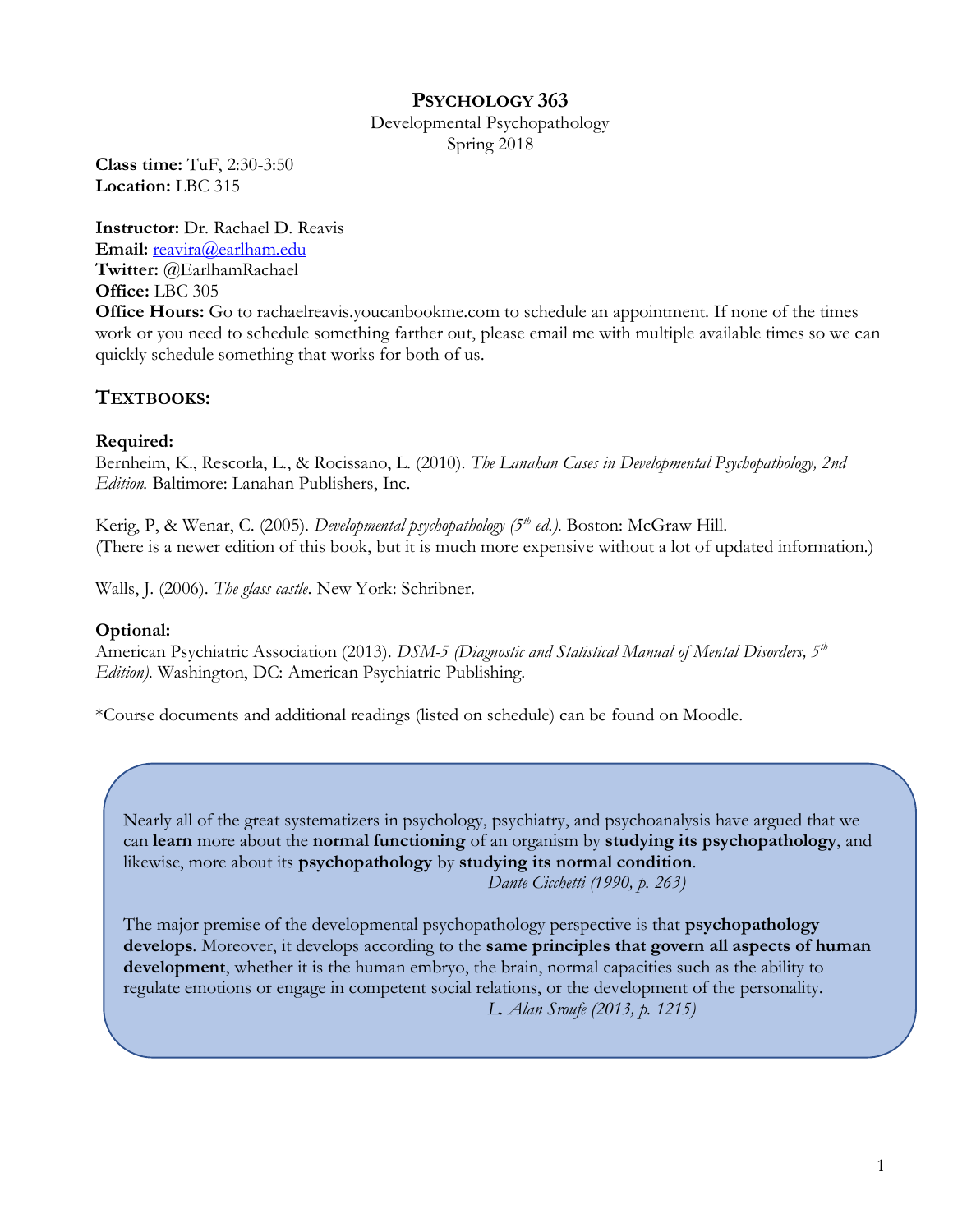# **PSYCHOLOGY 363**

Developmental Psychopathology Spring 2018

**Class time:** TuF, 2:30-3:50 **Location:** LBC 315

**Instructor:** Dr. Rachael D. Reavis **Email:** [reavira@earlham.edu](mailto:rdreavis@uncg.edu) **Twitter:** @EarlhamRachael **Office:** LBC 305

**Office Hours:** Go to rachaelreavis.youcanbookme.com to schedule an appointment. If none of the times work or you need to schedule something farther out, please email me with multiple available times so we can quickly schedule something that works for both of us.

# **TEXTBOOKS:**

## **Required:**

Bernheim, K., Rescorla, L., & Rocissano, L. (2010). *The Lanahan Cases in Developmental Psychopathology, 2nd Edition.* Baltimore: Lanahan Publishers, Inc.

Kerig, P, & Wenar, C. (2005). *Developmental psychopathology (5th ed.)*. Boston: McGraw Hill. (There is a newer edition of this book, but it is much more expensive without a lot of updated information.)

Walls, J. (2006). *The glass castle*. New York: Schribner.

## **Optional:**

American Psychiatric Association (2013). *DSM-5 (Diagnostic and Statistical Manual of Mental Disorders, 5th Edition)*. Washington, DC: American Psychiatric Publishing.

\*Course documents and additional readings (listed on schedule) can be found on Moodle.

Nearly all of the great systematizers in psychology, psychiatry, and psychoanalysis have argued that we can **learn** more about the **normal functioning** of an organism by **studying its psychopathology**, and likewise, more about its **psychopathology** by **studying its normal condition**. *Dante Cicchetti (1990, p. 263)*

The major premise of the developmental psychopathology perspective is that **psychopathology develops**. Moreover, it develops according to the **same principles that govern all aspects of human development**, whether it is the human embryo, the brain, normal capacities such as the ability to regulate emotions or engage in competent social relations, or the development of the personality. *L. Alan Sroufe (2013, p. 1215)*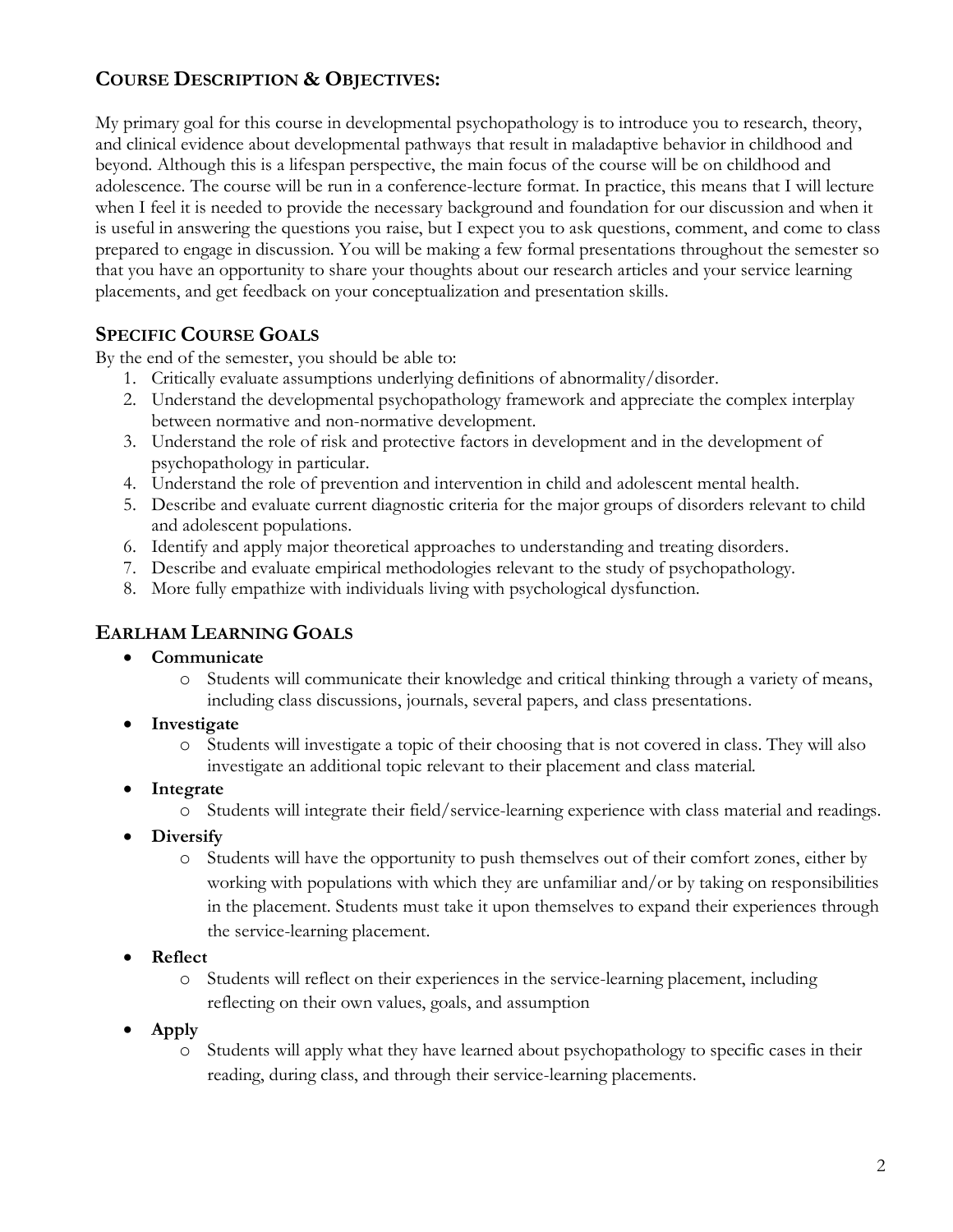# **COURSE DESCRIPTION & OBJECTIVES:**

My primary goal for this course in developmental psychopathology is to introduce you to research, theory, and clinical evidence about developmental pathways that result in maladaptive behavior in childhood and beyond. Although this is a lifespan perspective, the main focus of the course will be on childhood and adolescence. The course will be run in a conference-lecture format. In practice, this means that I will lecture when I feel it is needed to provide the necessary background and foundation for our discussion and when it is useful in answering the questions you raise, but I expect you to ask questions, comment, and come to class prepared to engage in discussion. You will be making a few formal presentations throughout the semester so that you have an opportunity to share your thoughts about our research articles and your service learning placements, and get feedback on your conceptualization and presentation skills.

## **SPECIFIC COURSE GOALS**

By the end of the semester, you should be able to:

- 1. Critically evaluate assumptions underlying definitions of abnormality/disorder.
- 2. Understand the developmental psychopathology framework and appreciate the complex interplay between normative and non-normative development.
- 3. Understand the role of risk and protective factors in development and in the development of psychopathology in particular.
- 4. Understand the role of prevention and intervention in child and adolescent mental health.
- 5. Describe and evaluate current diagnostic criteria for the major groups of disorders relevant to child and adolescent populations.
- 6. Identify and apply major theoretical approaches to understanding and treating disorders.
- 7. Describe and evaluate empirical methodologies relevant to the study of psychopathology.
- 8. More fully empathize with individuals living with psychological dysfunction.

## **EARLHAM LEARNING GOALS**

### • **Communicate**

- o Students will communicate their knowledge and critical thinking through a variety of means, including class discussions, journals, several papers, and class presentations.
- **Investigate**
	- o Students will investigate a topic of their choosing that is not covered in class. They will also investigate an additional topic relevant to their placement and class material.
- **Integrate**
	- o Students will integrate their field/service-learning experience with class material and readings.
- **Diversify**
	- o Students will have the opportunity to push themselves out of their comfort zones, either by working with populations with which they are unfamiliar and/or by taking on responsibilities in the placement. Students must take it upon themselves to expand their experiences through the service-learning placement.
- **Reflect** 
	- o Students will reflect on their experiences in the service-learning placement, including reflecting on their own values, goals, and assumption
- **Apply**
	- o Students will apply what they have learned about psychopathology to specific cases in their reading, during class, and through their service-learning placements.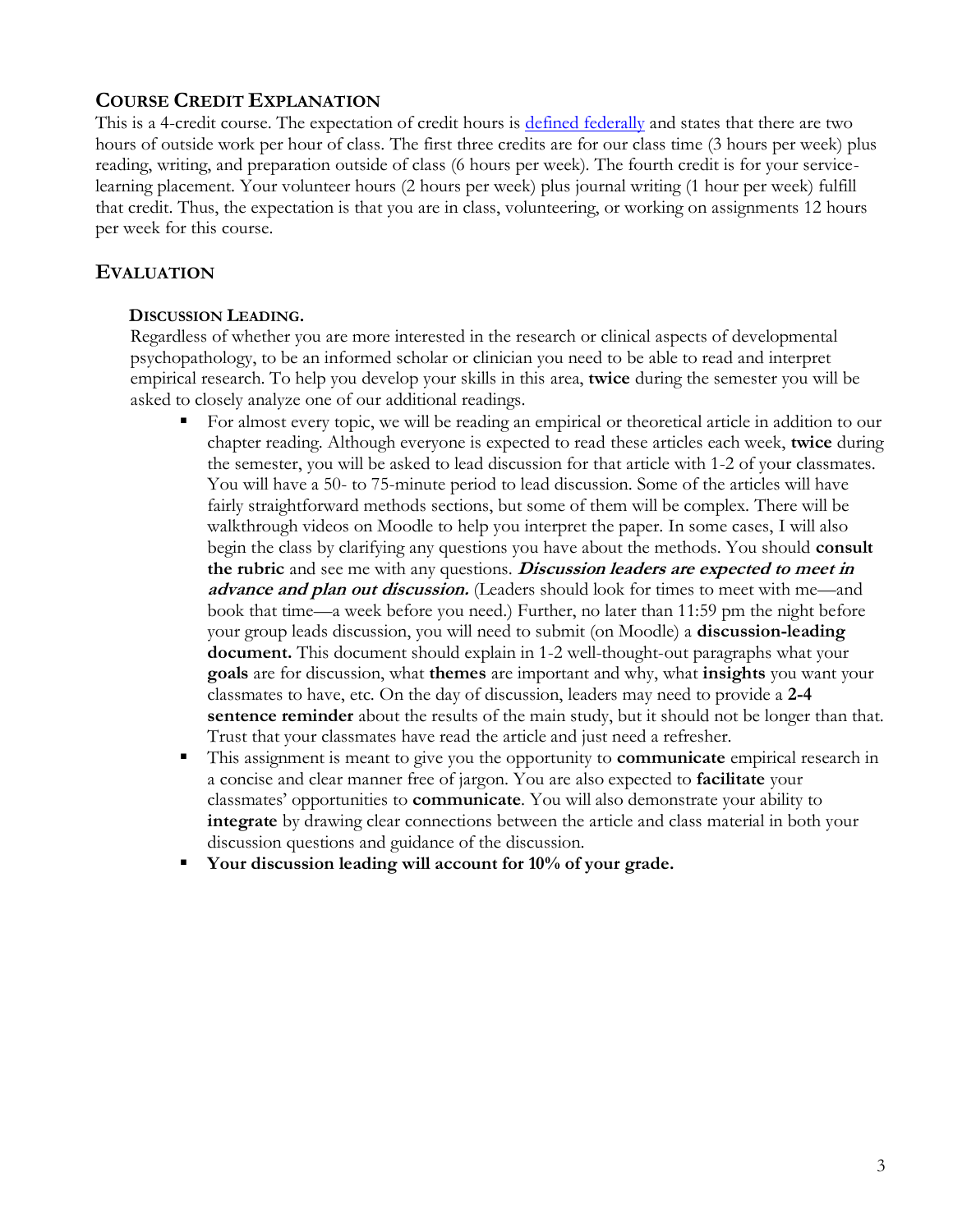# **COURSE CREDIT EXPLANATION**

This is a 4-credit course. The expectation of credit hours is [defined federally](http://www.ecfr.gov/cgi-bin/text-idx?rgn=div8&node=34:3.1.3.1.1.1.23.2) and states that there are two hours of outside work per hour of class. The first three credits are for our class time (3 hours per week) plus reading, writing, and preparation outside of class (6 hours per week). The fourth credit is for your servicelearning placement. Your volunteer hours (2 hours per week) plus journal writing (1 hour per week) fulfill that credit. Thus, the expectation is that you are in class, volunteering, or working on assignments 12 hours per week for this course.

# **EVALUATION**

### **DISCUSSION LEADING.**

Regardless of whether you are more interested in the research or clinical aspects of developmental psychopathology, to be an informed scholar or clinician you need to be able to read and interpret empirical research. To help you develop your skills in this area, **twice** during the semester you will be asked to closely analyze one of our additional readings.

- For almost every topic, we will be reading an empirical or theoretical article in addition to our chapter reading. Although everyone is expected to read these articles each week, **twice** during the semester, you will be asked to lead discussion for that article with 1-2 of your classmates. You will have a 50- to 75-minute period to lead discussion. Some of the articles will have fairly straightforward methods sections, but some of them will be complex. There will be walkthrough videos on Moodle to help you interpret the paper. In some cases, I will also begin the class by clarifying any questions you have about the methods. You should **consult the rubric** and see me with any questions. **Discussion leaders are expected to meet in advance and plan out discussion.** (Leaders should look for times to meet with me—and book that time—a week before you need.) Further, no later than 11:59 pm the night before your group leads discussion, you will need to submit (on Moodle) a **discussion-leading document.** This document should explain in 1-2 well-thought-out paragraphs what your **goals** are for discussion, what **themes** are important and why, what **insights** you want your classmates to have, etc. On the day of discussion, leaders may need to provide a **2-4 sentence reminder** about the results of the main study, but it should not be longer than that. Trust that your classmates have read the article and just need a refresher.
- This assignment is meant to give you the opportunity to **communicate** empirical research in a concise and clear manner free of jargon. You are also expected to **facilitate** your classmates' opportunities to **communicate**. You will also demonstrate your ability to **integrate** by drawing clear connections between the article and class material in both your discussion questions and guidance of the discussion.
- Your discussion leading will account for 10% of your grade.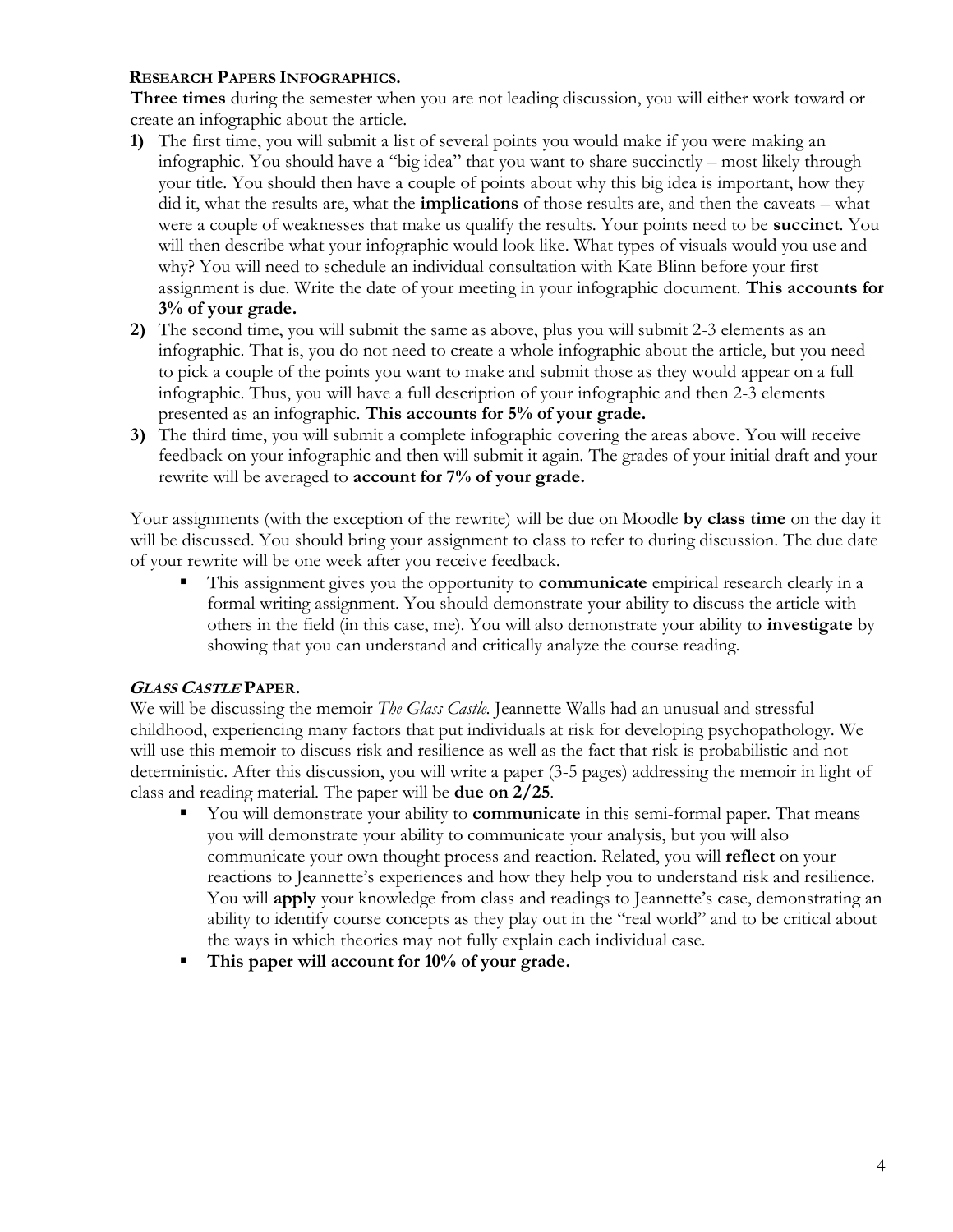### **RESEARCH PAPERS INFOGRAPHICS.**

**Three times** during the semester when you are not leading discussion, you will either work toward or create an infographic about the article.

- **1)** The first time, you will submit a list of several points you would make if you were making an infographic. You should have a "big idea" that you want to share succinctly – most likely through your title. You should then have a couple of points about why this big idea is important, how they did it, what the results are, what the **implications** of those results are, and then the caveats – what were a couple of weaknesses that make us qualify the results. Your points need to be **succinct**. You will then describe what your infographic would look like. What types of visuals would you use and why? You will need to schedule an individual consultation with Kate Blinn before your first assignment is due. Write the date of your meeting in your infographic document. **This accounts for 3% of your grade.**
- **2)** The second time, you will submit the same as above, plus you will submit 2-3 elements as an infographic. That is, you do not need to create a whole infographic about the article, but you need to pick a couple of the points you want to make and submit those as they would appear on a full infographic. Thus, you will have a full description of your infographic and then 2-3 elements presented as an infographic. **This accounts for 5% of your grade.**
- **3)** The third time, you will submit a complete infographic covering the areas above. You will receive feedback on your infographic and then will submit it again. The grades of your initial draft and your rewrite will be averaged to **account for 7% of your grade.**

Your assignments (with the exception of the rewrite) will be due on Moodle **by class time** on the day it will be discussed. You should bring your assignment to class to refer to during discussion. The due date of your rewrite will be one week after you receive feedback.

▪ This assignment gives you the opportunity to **communicate** empirical research clearly in a formal writing assignment. You should demonstrate your ability to discuss the article with others in the field (in this case, me). You will also demonstrate your ability to **investigate** by showing that you can understand and critically analyze the course reading.

## **<sup>G</sup>LASS CASTLE PAPER.**

We will be discussing the memoir *The Glass Castle*. Jeannette Walls had an unusual and stressful childhood, experiencing many factors that put individuals at risk for developing psychopathology. We will use this memoir to discuss risk and resilience as well as the fact that risk is probabilistic and not deterministic. After this discussion, you will write a paper (3-5 pages) addressing the memoir in light of class and reading material. The paper will be **due on 2/25**.

- You will demonstrate your ability to **communicate** in this semi-formal paper. That means you will demonstrate your ability to communicate your analysis, but you will also communicate your own thought process and reaction. Related, you will **reflect** on your reactions to Jeannette's experiences and how they help you to understand risk and resilience. You will **apply** your knowledge from class and readings to Jeannette's case, demonstrating an ability to identify course concepts as they play out in the "real world" and to be critical about the ways in which theories may not fully explain each individual case.
- **This paper will account for 10% of your grade.**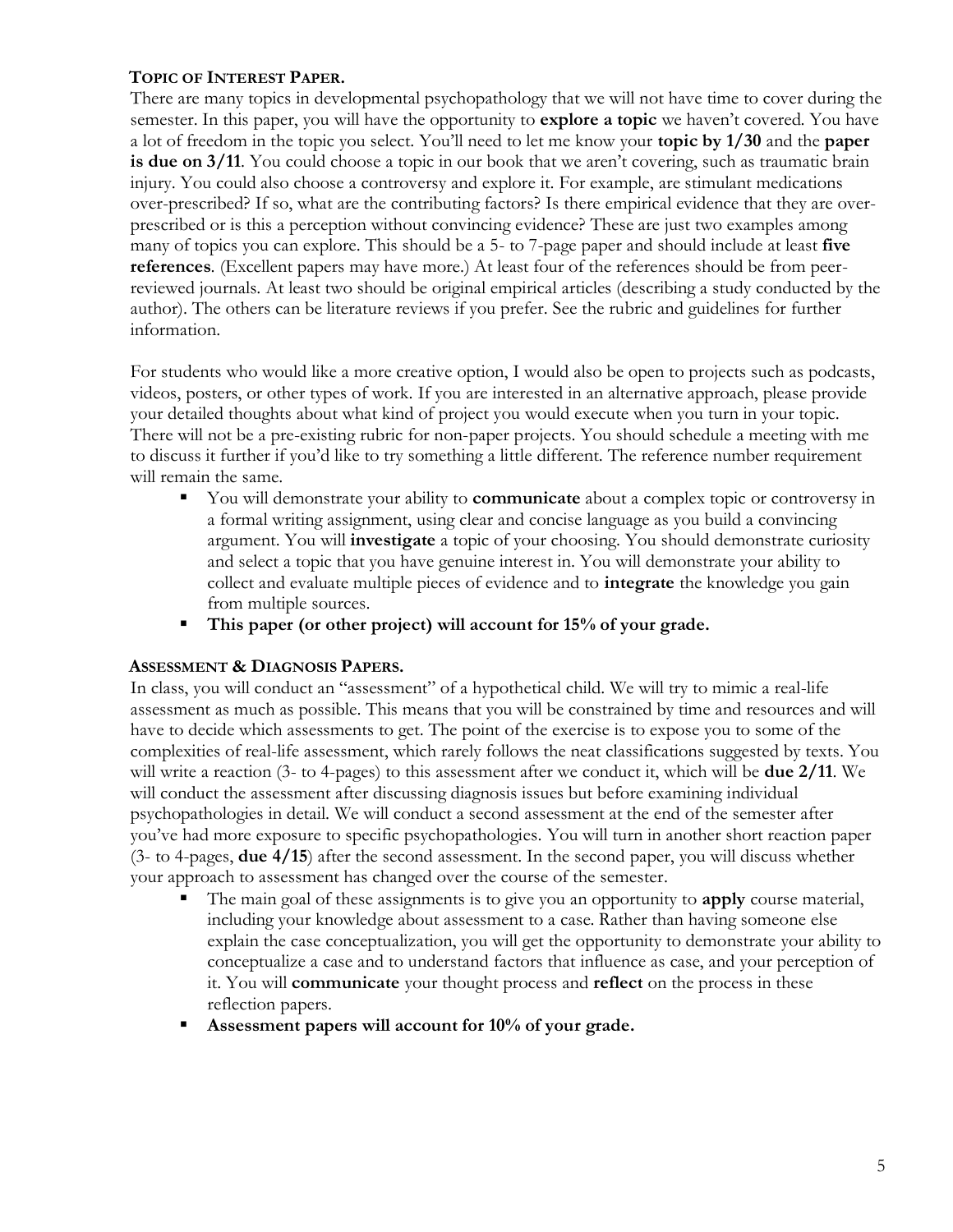## **TOPIC OF INTEREST PAPER.**

There are many topics in developmental psychopathology that we will not have time to cover during the semester. In this paper, you will have the opportunity to **explore a topic** we haven't covered. You have a lot of freedom in the topic you select. You'll need to let me know your **topic by 1/30** and the **paper is due on 3/11**. You could choose a topic in our book that we aren't covering, such as traumatic brain injury. You could also choose a controversy and explore it. For example, are stimulant medications over-prescribed? If so, what are the contributing factors? Is there empirical evidence that they are overprescribed or is this a perception without convincing evidence? These are just two examples among many of topics you can explore. This should be a 5- to 7-page paper and should include at least **five references**. (Excellent papers may have more.) At least four of the references should be from peerreviewed journals. At least two should be original empirical articles (describing a study conducted by the author). The others can be literature reviews if you prefer. See the rubric and guidelines for further information.

For students who would like a more creative option, I would also be open to projects such as podcasts, videos, posters, or other types of work. If you are interested in an alternative approach, please provide your detailed thoughts about what kind of project you would execute when you turn in your topic. There will not be a pre-existing rubric for non-paper projects. You should schedule a meeting with me to discuss it further if you'd like to try something a little different. The reference number requirement will remain the same.

- You will demonstrate your ability to **communicate** about a complex topic or controversy in a formal writing assignment, using clear and concise language as you build a convincing argument. You will **investigate** a topic of your choosing. You should demonstrate curiosity and select a topic that you have genuine interest in. You will demonstrate your ability to collect and evaluate multiple pieces of evidence and to **integrate** the knowledge you gain from multiple sources.
- **This paper (or other project) will account for 15% of your grade.**

### **ASSESSMENT & DIAGNOSIS PAPERS.**

In class, you will conduct an "assessment" of a hypothetical child. We will try to mimic a real-life assessment as much as possible. This means that you will be constrained by time and resources and will have to decide which assessments to get. The point of the exercise is to expose you to some of the complexities of real-life assessment, which rarely follows the neat classifications suggested by texts. You will write a reaction (3- to 4-pages) to this assessment after we conduct it, which will be **due 2/11**. We will conduct the assessment after discussing diagnosis issues but before examining individual psychopathologies in detail. We will conduct a second assessment at the end of the semester after you've had more exposure to specific psychopathologies. You will turn in another short reaction paper (3- to 4-pages, **due 4/15**) after the second assessment. In the second paper, you will discuss whether your approach to assessment has changed over the course of the semester.

- The main goal of these assignments is to give you an opportunity to **apply** course material, including your knowledge about assessment to a case. Rather than having someone else explain the case conceptualization, you will get the opportunity to demonstrate your ability to conceptualize a case and to understand factors that influence as case, and your perception of it. You will **communicate** your thought process and **reflect** on the process in these reflection papers.
- Assessment papers will account for 10% of your grade.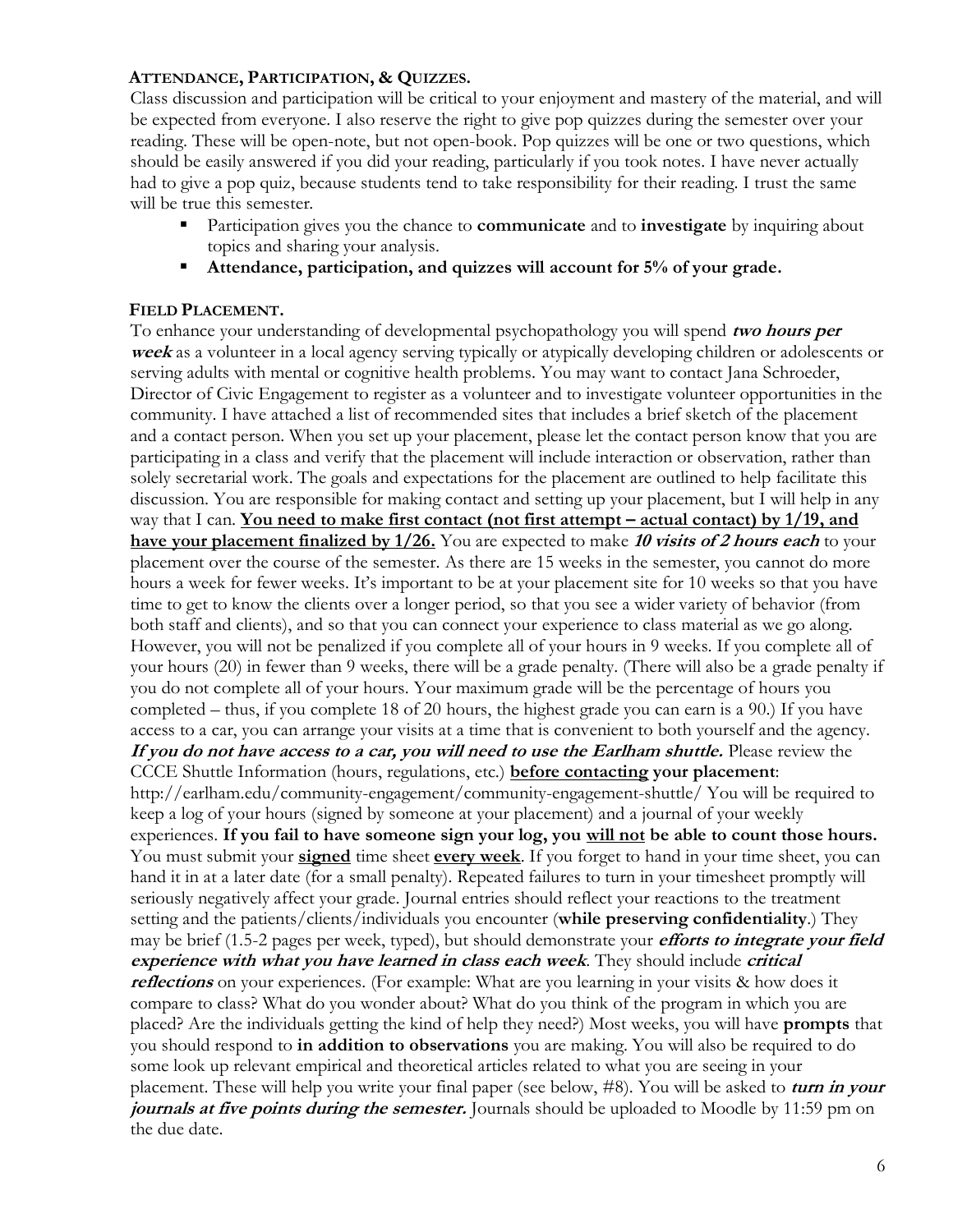### **ATTENDANCE, PARTICIPATION, & QUIZZES.**

Class discussion and participation will be critical to your enjoyment and mastery of the material, and will be expected from everyone. I also reserve the right to give pop quizzes during the semester over your reading. These will be open-note, but not open-book. Pop quizzes will be one or two questions, which should be easily answered if you did your reading, particularly if you took notes. I have never actually had to give a pop quiz, because students tend to take responsibility for their reading. I trust the same will be true this semester.

- Participation gives you the chance to **communicate** and to **investigate** by inquiring about topics and sharing your analysis.
- Attendance, participation, and quizzes will account for 5% of your grade.

### **FIELD PLACEMENT.**

To enhance your understanding of developmental psychopathology you will spend **two hours per week** as a volunteer in a local agency serving typically or atypically developing children or adolescents or serving adults with mental or cognitive health problems. You may want to contact Jana Schroeder, Director of Civic Engagement to register as a volunteer and to investigate volunteer opportunities in the community. I have attached a list of recommended sites that includes a brief sketch of the placement and a contact person. When you set up your placement, please let the contact person know that you are participating in a class and verify that the placement will include interaction or observation, rather than solely secretarial work. The goals and expectations for the placement are outlined to help facilitate this discussion. You are responsible for making contact and setting up your placement, but I will help in any way that I can. **You need to make first contact (not first attempt – actual contact) by 1/19, and have your placement finalized by 1/26.** You are expected to make **<sup>10</sup> visits of 2 hours each** to your placement over the course of the semester. As there are 15 weeks in the semester, you cannot do more hours a week for fewer weeks. It's important to be at your placement site for 10 weeks so that you have time to get to know the clients over a longer period, so that you see a wider variety of behavior (from both staff and clients), and so that you can connect your experience to class material as we go along. However, you will not be penalized if you complete all of your hours in 9 weeks. If you complete all of your hours (20) in fewer than 9 weeks, there will be a grade penalty. (There will also be a grade penalty if you do not complete all of your hours. Your maximum grade will be the percentage of hours you completed – thus, if you complete 18 of 20 hours, the highest grade you can earn is a 90.) If you have access to a car, you can arrange your visits at a time that is convenient to both yourself and the agency. **If you do not have access to a car, you will need to use the Earlham shuttle.** Please review the CCCE Shuttle Information (hours, regulations, etc.) **before contacting your placement**: http://earlham.edu/community-engagement/community-engagement-shuttle/ You will be required to keep a log of your hours (signed by someone at your placement) and a journal of your weekly experiences. **If you fail to have someone sign your log, you will not be able to count those hours.**  You must submit your **signed** time sheet **every week**. If you forget to hand in your time sheet, you can hand it in at a later date (for a small penalty). Repeated failures to turn in your timesheet promptly will seriously negatively affect your grade. Journal entries should reflect your reactions to the treatment setting and the patients/clients/individuals you encounter (**while preserving confidentiality**.) They may be brief (1.5-2 pages per week, typed), but should demonstrate your **efforts to integrate your field experience with what you have learned in class each week**. They should include **critical reflections** on your experiences. (For example: What are you learning in your visits & how does it compare to class? What do you wonder about? What do you think of the program in which you are placed? Are the individuals getting the kind of help they need?) Most weeks, you will have **prompts** that you should respond to **in addition to observations** you are making. You will also be required to do some look up relevant empirical and theoretical articles related to what you are seeing in your placement. These will help you write your final paper (see below, #8). You will be asked to **turn in your**  *journals at five points during the semester.* Journals should be uploaded to Moodle by 11:59 pm on the due date.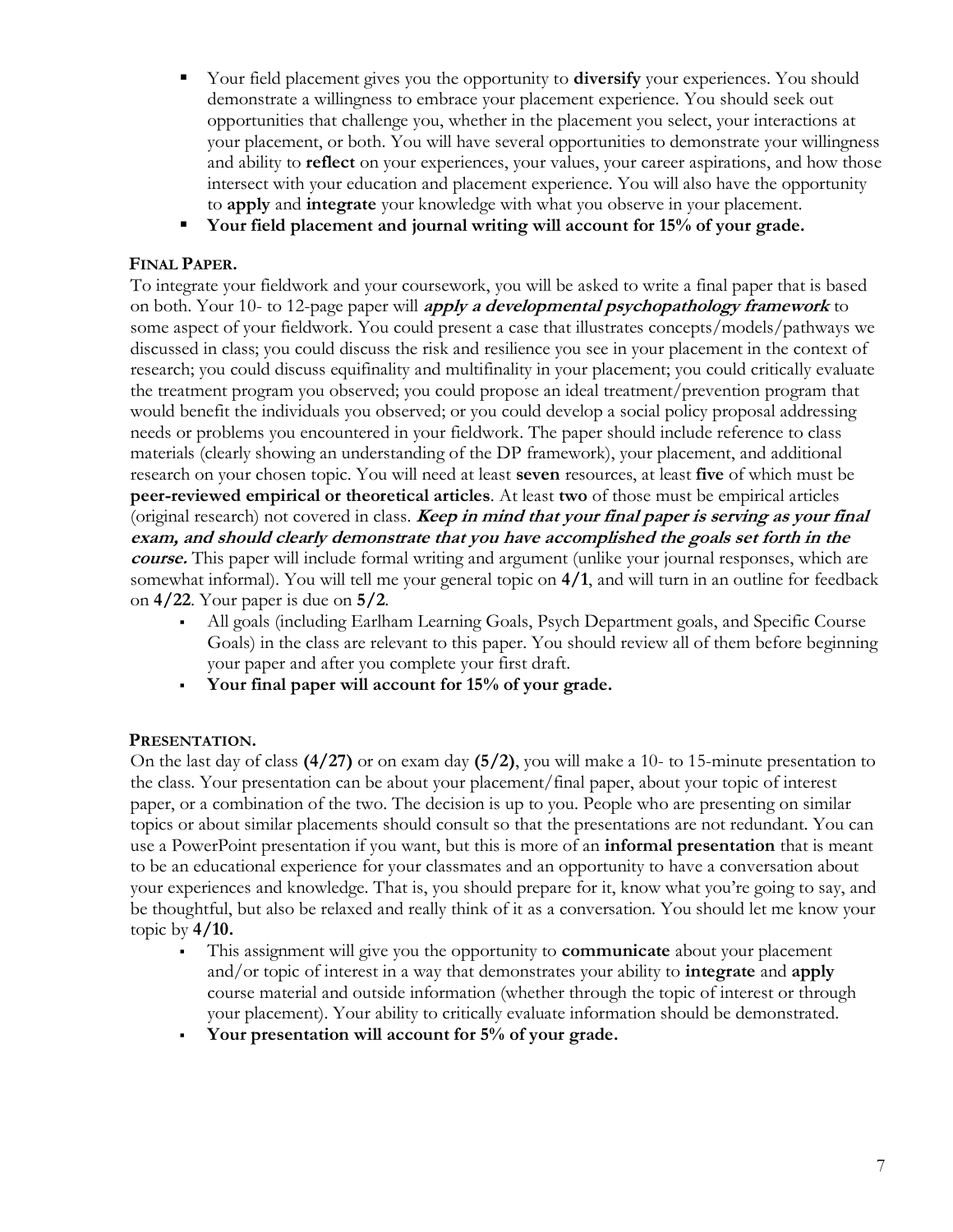- Your field placement gives you the opportunity to **diversify** your experiences. You should demonstrate a willingness to embrace your placement experience. You should seek out opportunities that challenge you, whether in the placement you select, your interactions at your placement, or both. You will have several opportunities to demonstrate your willingness and ability to **reflect** on your experiences, your values, your career aspirations, and how those intersect with your education and placement experience. You will also have the opportunity to **apply** and **integrate** your knowledge with what you observe in your placement.
- Your field placement and journal writing will account for 15% of your grade.

### **FINAL PAPER.**

To integrate your fieldwork and your coursework, you will be asked to write a final paper that is based on both. Your 10- to 12-page paper will **apply a developmental psychopathology framework** to some aspect of your fieldwork. You could present a case that illustrates concepts/models/pathways we discussed in class; you could discuss the risk and resilience you see in your placement in the context of research; you could discuss equifinality and multifinality in your placement; you could critically evaluate the treatment program you observed; you could propose an ideal treatment/prevention program that would benefit the individuals you observed; or you could develop a social policy proposal addressing needs or problems you encountered in your fieldwork. The paper should include reference to class materials (clearly showing an understanding of the DP framework), your placement, and additional research on your chosen topic. You will need at least **seven** resources, at least **five** of which must be **peer-reviewed empirical or theoretical articles**. At least **two** of those must be empirical articles (original research) not covered in class. **Keep in mind that your final paper is serving as your final exam, and should clearly demonstrate that you have accomplished the goals set forth in the course.** This paper will include formal writing and argument (unlike your journal responses, which are somewhat informal). You will tell me your general topic on **4/1**, and will turn in an outline for feedback on **4/22**. Your paper is due on **5/2**.

- All goals (including Earlham Learning Goals, Psych Department goals, and Specific Course Goals) in the class are relevant to this paper. You should review all of them before beginning your paper and after you complete your first draft.
- Your final paper will account for 15% of your grade.

## **PRESENTATION.**

On the last day of class **(4/27)** or on exam day **(5/2)**, you will make a 10- to 15-minute presentation to the class. Your presentation can be about your placement/final paper, about your topic of interest paper, or a combination of the two. The decision is up to you. People who are presenting on similar topics or about similar placements should consult so that the presentations are not redundant. You can use a PowerPoint presentation if you want, but this is more of an **informal presentation** that is meant to be an educational experience for your classmates and an opportunity to have a conversation about your experiences and knowledge. That is, you should prepare for it, know what you're going to say, and be thoughtful, but also be relaxed and really think of it as a conversation. You should let me know your topic by **4/10.**

- This assignment will give you the opportunity to **communicate** about your placement and/or topic of interest in a way that demonstrates your ability to **integrate** and **apply**  course material and outside information (whether through the topic of interest or through your placement). Your ability to critically evaluate information should be demonstrated.
- Your presentation will account for 5% of your grade.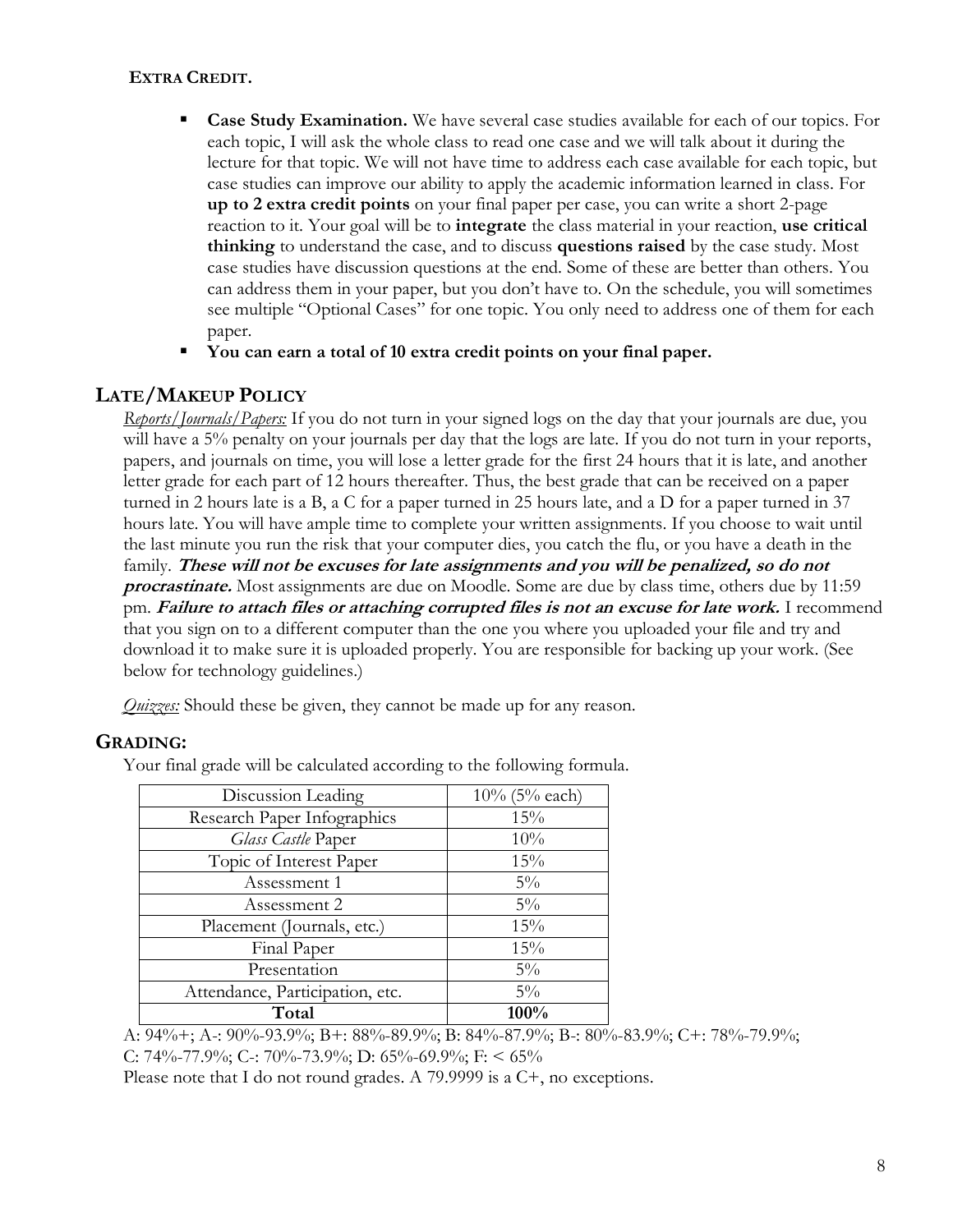## **EXTRA CREDIT.**

- Case Study Examination. We have several case studies available for each of our topics. For each topic, I will ask the whole class to read one case and we will talk about it during the lecture for that topic. We will not have time to address each case available for each topic, but case studies can improve our ability to apply the academic information learned in class. For **up to 2 extra credit points** on your final paper per case, you can write a short 2-page reaction to it. Your goal will be to **integrate** the class material in your reaction, **use critical thinking** to understand the case, and to discuss **questions raised** by the case study. Most case studies have discussion questions at the end. Some of these are better than others. You can address them in your paper, but you don't have to. On the schedule, you will sometimes see multiple "Optional Cases" for one topic. You only need to address one of them for each paper.
- **You can earn a total of 10 extra credit points on your final paper.**

## **LATE/MAKEUP POLICY**

*Reports/Journals/Papers:* If you do not turn in your signed logs on the day that your journals are due, you will have a 5% penalty on your journals per day that the logs are late. If you do not turn in your reports, papers, and journals on time, you will lose a letter grade for the first 24 hours that it is late, and another letter grade for each part of 12 hours thereafter. Thus, the best grade that can be received on a paper turned in 2 hours late is a B, a C for a paper turned in 25 hours late, and a D for a paper turned in 37 hours late. You will have ample time to complete your written assignments. If you choose to wait until the last minute you run the risk that your computer dies, you catch the flu, or you have a death in the family. **These will not be excuses for late assignments and you will be penalized, so do not procrastinate.** Most assignments are due on Moodle. Some are due by class time, others due by 11:59 pm. **Failure to attach files or attaching corrupted files is not an excuse for late work.** I recommend that you sign on to a different computer than the one you where you uploaded your file and try and download it to make sure it is uploaded properly. You are responsible for backing up your work. (See below for technology guidelines.)

*Quizzes:* Should these be given, they cannot be made up for any reason.

## **GRADING:**

| Discussion Leading              | $10\%$ (5% each) |
|---------------------------------|------------------|
| Research Paper Infographics     | 15%              |
| Glass Castle Paper              | 10%              |
| Topic of Interest Paper         | 15%              |
| Assessment 1                    | $5\%$            |
| Assessment 2                    | $5\%$            |
| Placement (Journals, etc.)      | 15%              |
| Final Paper                     | 15%              |
| Presentation                    | $5\%$            |
| Attendance, Participation, etc. | $5\%$            |
| Total                           | 100%             |

Your final grade will be calculated according to the following formula.

A: 94%+; A-: 90%-93.9%; B+: 88%-89.9%; B: 84%-87.9%; B-: 80%-83.9%; C+: 78%-79.9%;

C: 74%-77.9%; C-: 70%-73.9%; D: 65%-69.9%; F: < 65%

Please note that I do not round grades. A 79.9999 is a C+, no exceptions.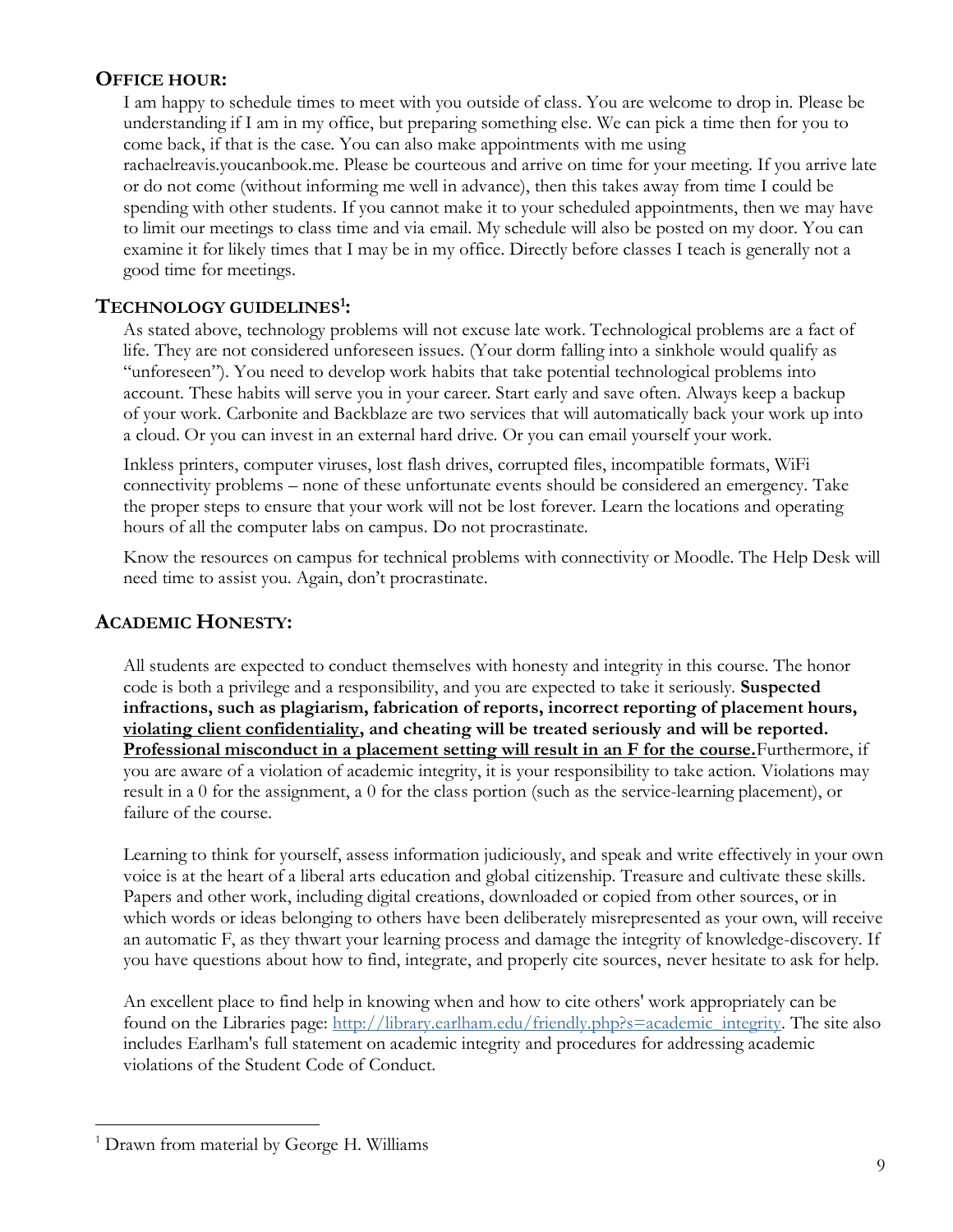## **OFFICE HOUR:**

I am happy to schedule times to meet with you outside of class. You are welcome to drop in. Please be understanding if I am in my office, but preparing something else. We can pick a time then for you to come back, if that is the case. You can also make appointments with me using rachaelreavis.youcanbook.me. Please be courteous and arrive on time for your meeting. If you arrive late or do not come (without informing me well in advance), then this takes away from time I could be spending with other students. If you cannot make it to your scheduled appointments, then we may have to limit our meetings to class time and via email. My schedule will also be posted on my door. You can examine it for likely times that I may be in my office. Directly before classes I teach is generally not a good time for meetings.

## **TECHNOLOGY GUIDELINES<sup>1</sup> :**

As stated above, technology problems will not excuse late work. Technological problems are a fact of life. They are not considered unforeseen issues. (Your dorm falling into a sinkhole would qualify as "unforeseen"). You need to develop work habits that take potential technological problems into account. These habits will serve you in your career. Start early and save often. Always keep a backup of your work. Carbonite and Backblaze are two services that will automatically back your work up into a cloud. Or you can invest in an external hard drive. Or you can email yourself your work.

Inkless printers, computer viruses, lost flash drives, corrupted files, incompatible formats, WiFi connectivity problems – none of these unfortunate events should be considered an emergency. Take the proper steps to ensure that your work will not be lost forever. Learn the locations and operating hours of all the computer labs on campus. Do not procrastinate.

Know the resources on campus for technical problems with connectivity or Moodle. The Help Desk will need time to assist you. Again, don't procrastinate.

## **ACADEMIC HONESTY:**

All students are expected to conduct themselves with honesty and integrity in this course. The honor code is both a privilege and a responsibility, and you are expected to take it seriously. **Suspected infractions, such as plagiarism, fabrication of reports, incorrect reporting of placement hours, violating client confidentiality, and cheating will be treated seriously and will be reported. Professional misconduct in a placement setting will result in an F for the course.**Furthermore, if you are aware of a violation of academic integrity, it is your responsibility to take action. Violations may result in a 0 for the assignment, a 0 for the class portion (such as the service-learning placement), or failure of the course.

Learning to think for yourself, assess information judiciously, and speak and write effectively in your own voice is at the heart of a liberal arts education and global citizenship. Treasure and cultivate these skills. Papers and other work, including digital creations, downloaded or copied from other sources, or in which words or ideas belonging to others have been deliberately misrepresented as your own, will receive an automatic F, as they thwart your learning process and damage the integrity of knowledge-discovery. If you have questions about how to find, integrate, and properly cite sources, never hesitate to ask for help.

An excellent place to find help in knowing when and how to cite others' work appropriately can be found on the Libraries page: [http://library.earlham.edu/friendly.php?s=academic\\_integrity.](http://library.earlham.edu/friendly.php?s=academic_integrity) The site also includes Earlham's full statement on academic integrity and procedures for addressing academic violations of the Student Code of Conduct.

 $\overline{a}$ 

<sup>&</sup>lt;sup>1</sup> Drawn from material by George H. Williams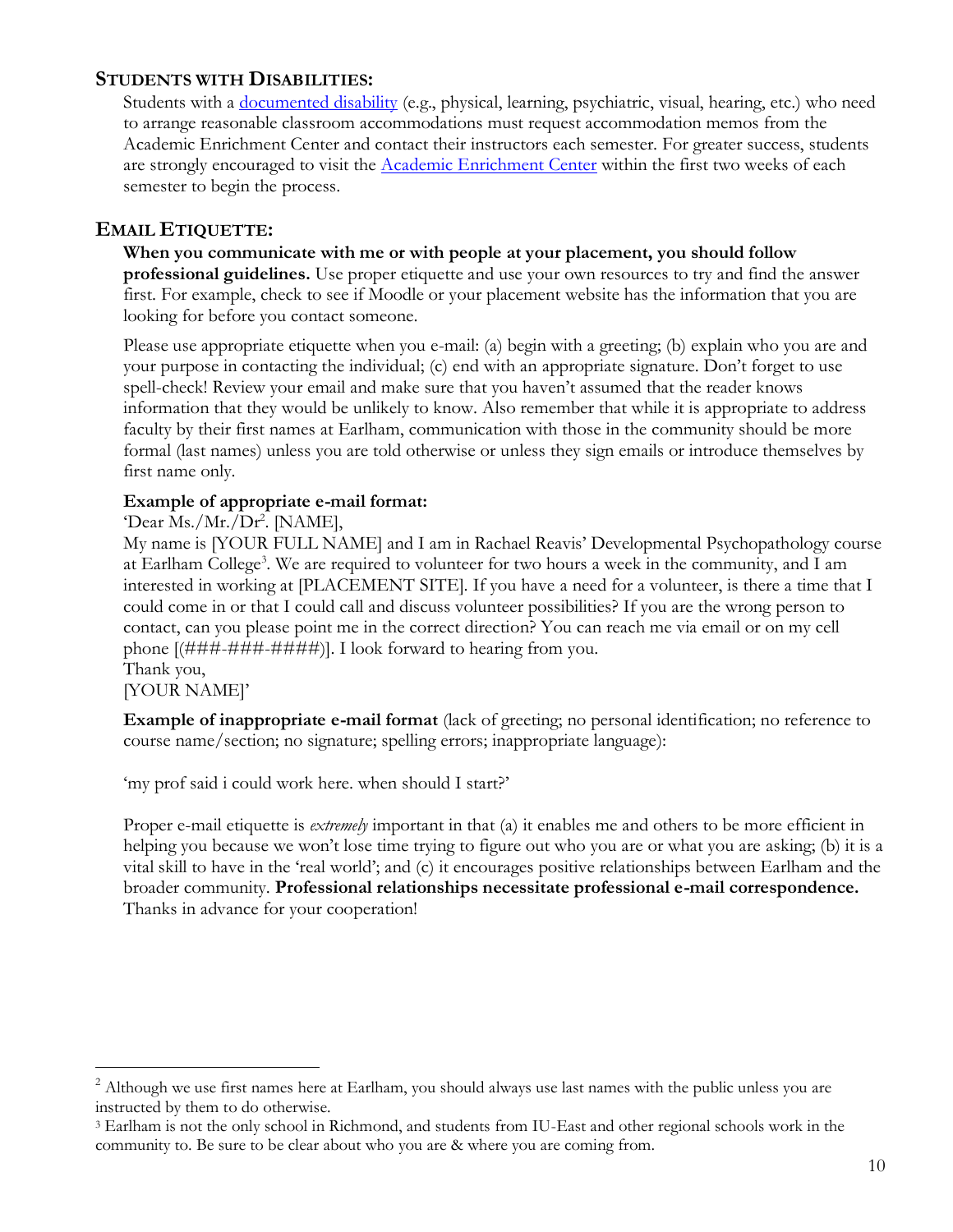## **STUDENTS WITH DISABILITIES:**

Students with a [documented disability](https://earlham.edu/policies-and-handbooks/academic/policy-on-student-learning-disabilities/) (e.g., physical, learning, psychiatric, visual, hearing, etc.) who need to arrange reasonable classroom accommodations must request accommodation memos from the Academic Enrichment Center and contact their instructors each semester. For greater success, students are strongly encouraged to visit the [Academic Enrichment Center](http://earlham.edu/academic-enrichment-center/) within the first two weeks of each semester to begin the process.

## **EMAIL ETIQUETTE:**

**When you communicate with me or with people at your placement, you should follow professional guidelines.** Use proper etiquette and use your own resources to try and find the answer first. For example, check to see if Moodle or your placement website has the information that you are looking for before you contact someone.

Please use appropriate etiquette when you e-mail: (a) begin with a greeting; (b) explain who you are and your purpose in contacting the individual; (c) end with an appropriate signature. Don't forget to use spell-check! Review your email and make sure that you haven't assumed that the reader knows information that they would be unlikely to know. Also remember that while it is appropriate to address faculty by their first names at Earlham, communication with those in the community should be more formal (last names) unless you are told otherwise or unless they sign emails or introduce themselves by first name only.

## **Example of appropriate e-mail format:**

'Dear Ms./Mr./Dr<sup>2</sup>. [NAME],

My name is [YOUR FULL NAME] and I am in Rachael Reavis' Developmental Psychopathology course at Earlham College<sup>3</sup>. We are required to volunteer for two hours a week in the community, and I am interested in working at [PLACEMENT SITE]. If you have a need for a volunteer, is there a time that I could come in or that I could call and discuss volunteer possibilities? If you are the wrong person to contact, can you please point me in the correct direction? You can reach me via email or on my cell phone [(###-###-####)]. I look forward to hearing from you. Thank you,

 $\overline{a}$ 

[YOUR NAME]'

**Example of inappropriate e-mail format** (lack of greeting; no personal identification; no reference to course name/section; no signature; spelling errors; inappropriate language):

'my prof said i could work here. when should I start?'

Proper e-mail etiquette is *extremely* important in that (a) it enables me and others to be more efficient in helping you because we won't lose time trying to figure out who you are or what you are asking; (b) it is a vital skill to have in the 'real world'; and (c) it encourages positive relationships between Earlham and the broader community. **Professional relationships necessitate professional e-mail correspondence.** Thanks in advance for your cooperation!

<sup>&</sup>lt;sup>2</sup> Although we use first names here at Earlham, you should always use last names with the public unless you are instructed by them to do otherwise.

<sup>3</sup> Earlham is not the only school in Richmond, and students from IU-East and other regional schools work in the community to. Be sure to be clear about who you are & where you are coming from.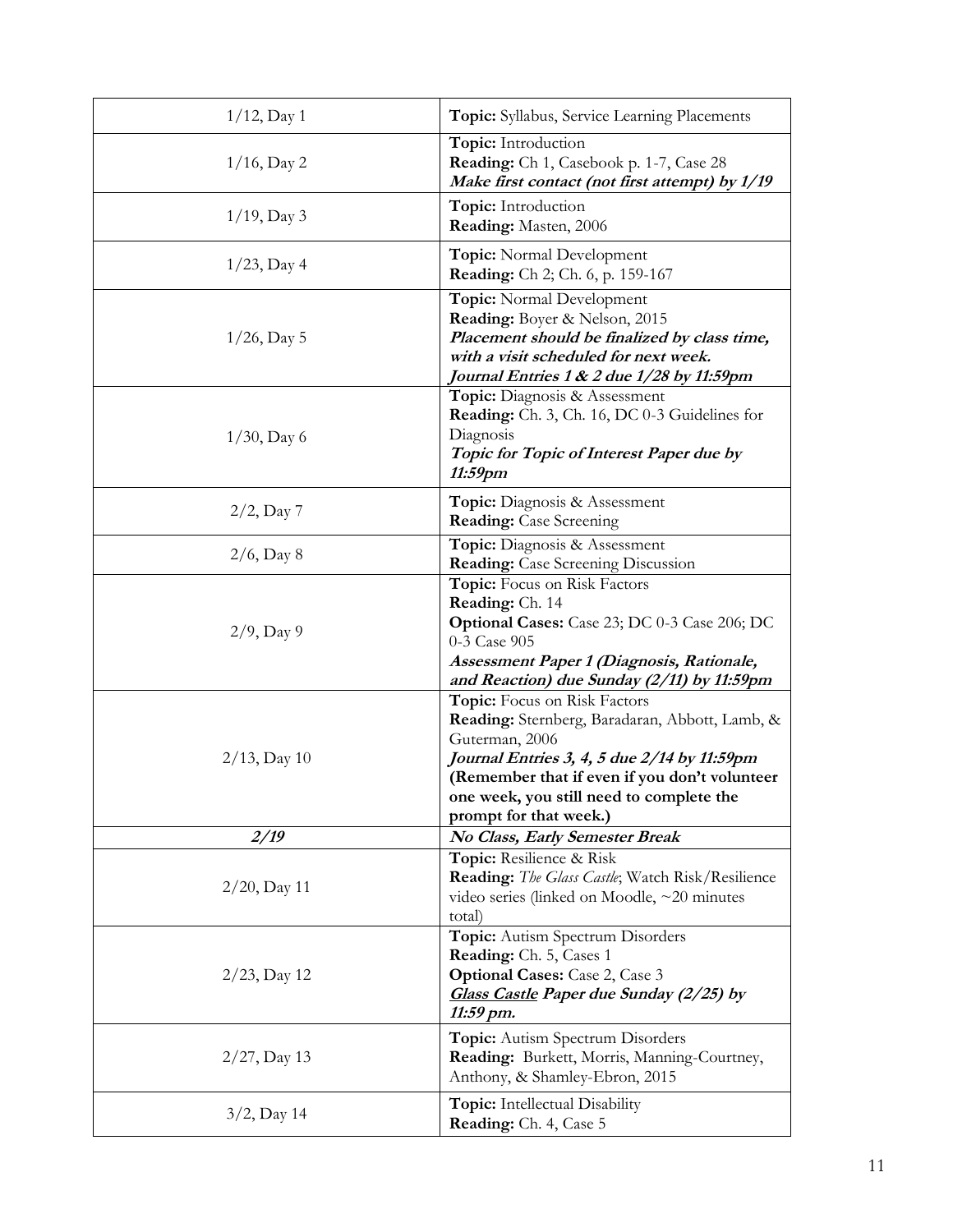| $1/12$ , Day 1  | Topic: Syllabus, Service Learning Placements                                                                                                                                                                                                                           |
|-----------------|------------------------------------------------------------------------------------------------------------------------------------------------------------------------------------------------------------------------------------------------------------------------|
| $1/16$ , Day 2  | Topic: Introduction<br>Reading: Ch 1, Casebook p. 1-7, Case 28<br>Make first contact (not first attempt) by 1/19                                                                                                                                                       |
| $1/19$ , Day 3  | Topic: Introduction<br>Reading: Masten, 2006                                                                                                                                                                                                                           |
| $1/23$ , Day 4  | <b>Topic:</b> Normal Development<br><b>Reading:</b> Ch 2; Ch. 6, p. 159-167                                                                                                                                                                                            |
| $1/26$ , Day 5  | Topic: Normal Development<br>Reading: Boyer & Nelson, 2015<br>Placement should be finalized by class time,<br>with a visit scheduled for next week.<br>Journal Entries 1 & 2 due 1/28 by 11:59pm                                                                       |
| $1/30$ , Day 6  | <b>Topic:</b> Diagnosis & Assessment<br><b>Reading:</b> Ch. 3, Ch. 16, DC 0-3 Guidelines for<br>Diagnosis<br>Topic for Topic of Interest Paper due by<br>11:59pm                                                                                                       |
| $2/2$ , Day 7   | <b>Topic:</b> Diagnosis & Assessment<br><b>Reading:</b> Case Screening                                                                                                                                                                                                 |
| $2/6$ , Day 8   | Topic: Diagnosis & Assessment<br><b>Reading:</b> Case Screening Discussion                                                                                                                                                                                             |
| $2/9$ , Day 9   | <b>Topic:</b> Focus on Risk Factors<br>Reading: Ch. 14<br><b>Optional Cases:</b> Case 23; DC 0-3 Case 206; DC<br>0-3 Case 905<br>Assessment Paper 1 (Diagnosis, Rationale,<br>and Reaction) due Sunday (2/11) by 11:59pm                                               |
| $2/13$ , Day 10 | Topic: Focus on Risk Factors<br>Reading: Sternberg, Baradaran, Abbott, Lamb, &<br>Guterman, 2006<br>Journal Entries 3, 4, 5 due 2/14 by 11:59pm<br>(Remember that if even if you don't volunteer<br>one week, you still need to complete the<br>prompt for that week.) |
| 2/19            | No Class, Early Semester Break                                                                                                                                                                                                                                         |
| $2/20$ , Day 11 | Topic: Resilience & Risk<br><b>Reading:</b> The Glass Castle; Watch Risk/Resilience<br>video series (linked on Moodle, $\sim$ 20 minutes<br>total)                                                                                                                     |
| $2/23$ , Day 12 | <b>Topic:</b> Autism Spectrum Disorders<br>Reading: Ch. 5, Cases 1<br><b>Optional Cases:</b> Case 2, Case 3<br>Glass Castle Paper due Sunday (2/25) by<br>11:59 pm.                                                                                                    |
| $2/27$ , Day 13 | Topic: Autism Spectrum Disorders<br>Reading: Burkett, Morris, Manning-Courtney,<br>Anthony, & Shamley-Ebron, 2015                                                                                                                                                      |
| 3/2, Day 14     | <b>Topic:</b> Intellectual Disability<br>Reading: Ch. 4, Case 5                                                                                                                                                                                                        |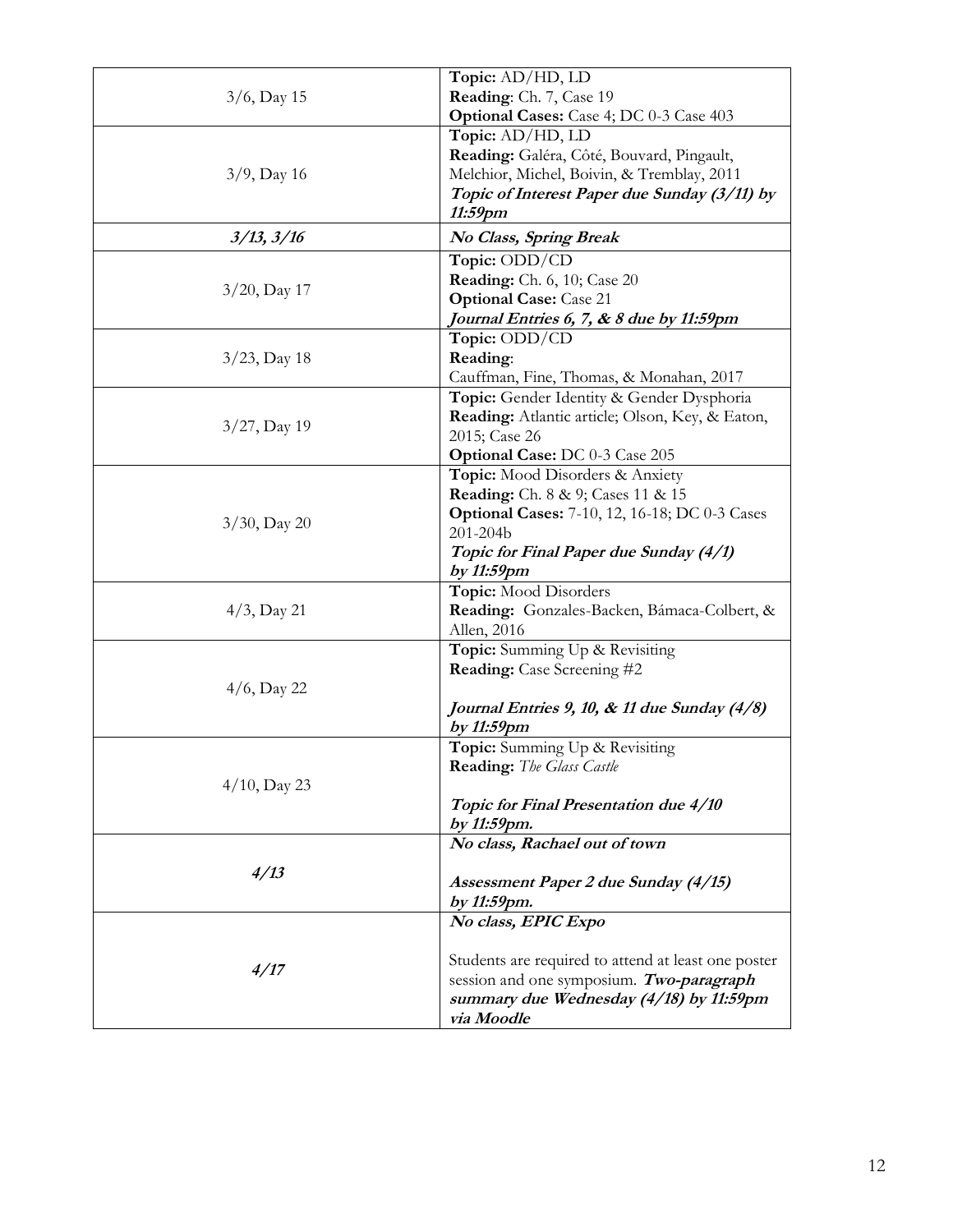|                 | Topic: AD/HD, LD                                     |
|-----------------|------------------------------------------------------|
| $3/6$ , Day 15  | Reading: Ch. 7, Case 19                              |
|                 | Optional Cases: Case 4; DC 0-3 Case 403              |
|                 | Topic: AD/HD, LD                                     |
|                 | Reading: Galéra, Côté, Bouvard, Pingault,            |
| $3/9$ , Day 16  | Melchior, Michel, Boivin, & Tremblay, 2011           |
|                 | Topic of Interest Paper due Sunday (3/11) by         |
|                 | 11:59pm                                              |
| 3/13, 3/16      | No Class, Spring Break                               |
|                 | Topic: ODD/CD                                        |
| $3/20$ , Day 17 | <b>Reading:</b> Ch. 6, 10; Case 20                   |
|                 | <b>Optional Case:</b> Case 21                        |
|                 | Journal Entries 6, 7, & 8 due by 11:59pm             |
|                 | Topic: ODD/CD                                        |
| $3/23$ , Day 18 | Reading:                                             |
|                 | Cauffman, Fine, Thomas, & Monahan, 2017              |
|                 | Topic: Gender Identity & Gender Dysphoria            |
|                 | Reading: Atlantic article; Olson, Key, & Eaton,      |
| $3/27$ , Day 19 | 2015; Case 26                                        |
|                 | <b>Optional Case: DC 0-3 Case 205</b>                |
|                 | Topic: Mood Disorders & Anxiety                      |
|                 | <b>Reading:</b> Ch. 8 & 9; Cases 11 & 15             |
| $3/30$ , Day 20 | <b>Optional Cases:</b> 7-10, 12, 16-18; DC 0-3 Cases |
|                 | 201-204b                                             |
|                 | Topic for Final Paper due Sunday (4/1)               |
|                 | by 11:59pm                                           |
|                 | Topic: Mood Disorders                                |
| $4/3$ , Day 21  | Reading: Gonzales-Backen, Bámaca-Colbert, &          |
|                 | Allen, 2016                                          |
|                 | Topic: Summing Up & Revisiting                       |
|                 | <b>Reading:</b> Case Screening #2                    |
| $4/6$ , Day 22  |                                                      |
|                 | Journal Entries 9, 10, & 11 due Sunday (4/8)         |
|                 | by 11:59pm                                           |
|                 | Topic: Summing Up & Revisiting                       |
|                 | <b>Reading:</b> The Glass Castle                     |
| $4/10$ , Day 23 |                                                      |
|                 | Topic for Final Presentation due 4/10                |
|                 | by 11:59pm.                                          |
|                 | No class, Rachael out of town                        |
| 4/13            |                                                      |
|                 | Assessment Paper 2 due Sunday (4/15)                 |
|                 | by 11:59pm.                                          |
|                 | No class, EPIC Expo                                  |
|                 |                                                      |
| 4/17            | Students are required to attend at least one poster  |
|                 | session and one symposium. Two-paragraph             |
|                 | summary due Wednesday (4/18) by 11:59pm              |
|                 | via Moodle                                           |